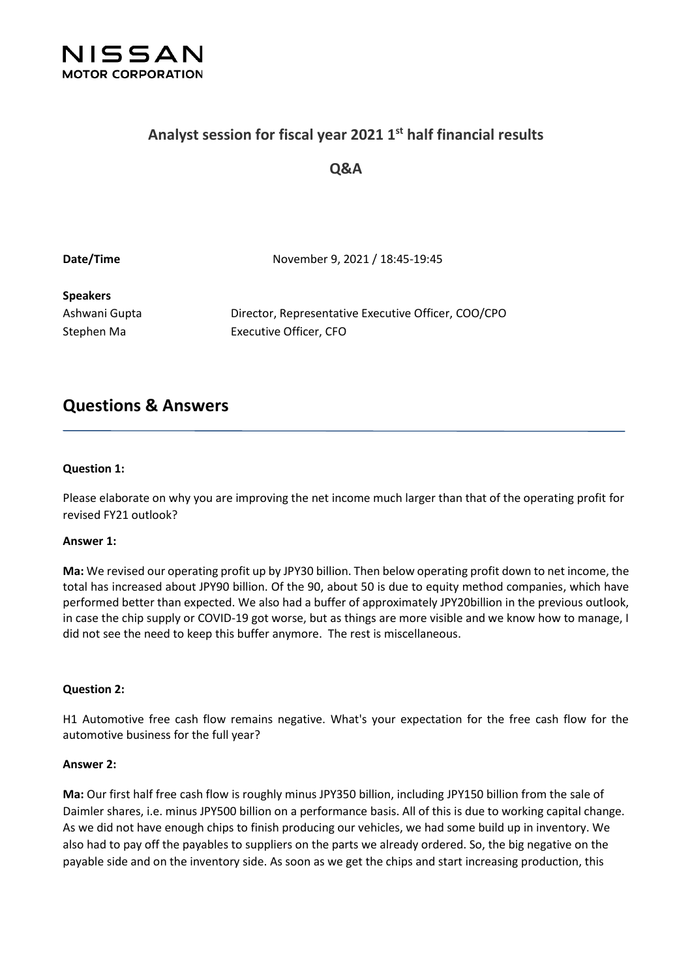

## **Analyst session for fiscal year 2021 1 st half financial results**

### **Q&A**

**Date/Time** November 9, 2021 / 18:45-19:45

# **Speakers**

Ashwani Gupta Director, Representative Executive Officer, COO/CPO Stephen Ma Executive Officer, CFO

# **Questions & Answers**

#### **Question 1:**

Please elaborate on why you are improving the net income much larger than that of the operating profit for revised FY21 outlook?

#### **Answer 1:**

**Ma:** We revised our operating profit up by JPY30 billion. Then below operating profit down to net income, the total has increased about JPY90 billion. Of the 90, about 50 is due to equity method companies, which have performed better than expected. We also had a buffer of approximately JPY20billion in the previous outlook, in case the chip supply or COVID-19 got worse, but as things are more visible and we know how to manage, I did not see the need to keep this buffer anymore. The rest is miscellaneous.

#### **Question 2:**

H1 Automotive free cash flow remains negative. What's your expectation for the free cash flow for the automotive business for the full year?

#### **Answer 2:**

**Ma:** Our first half free cash flow is roughly minus JPY350 billion, including JPY150 billion from the sale of Daimler shares, i.e. minus JPY500 billion on a performance basis. All of this is due to working capital change. As we did not have enough chips to finish producing our vehicles, we had some build up in inventory. We also had to pay off the payables to suppliers on the parts we already ordered. So, the big negative on the payable side and on the inventory side. As soon as we get the chips and start increasing production, this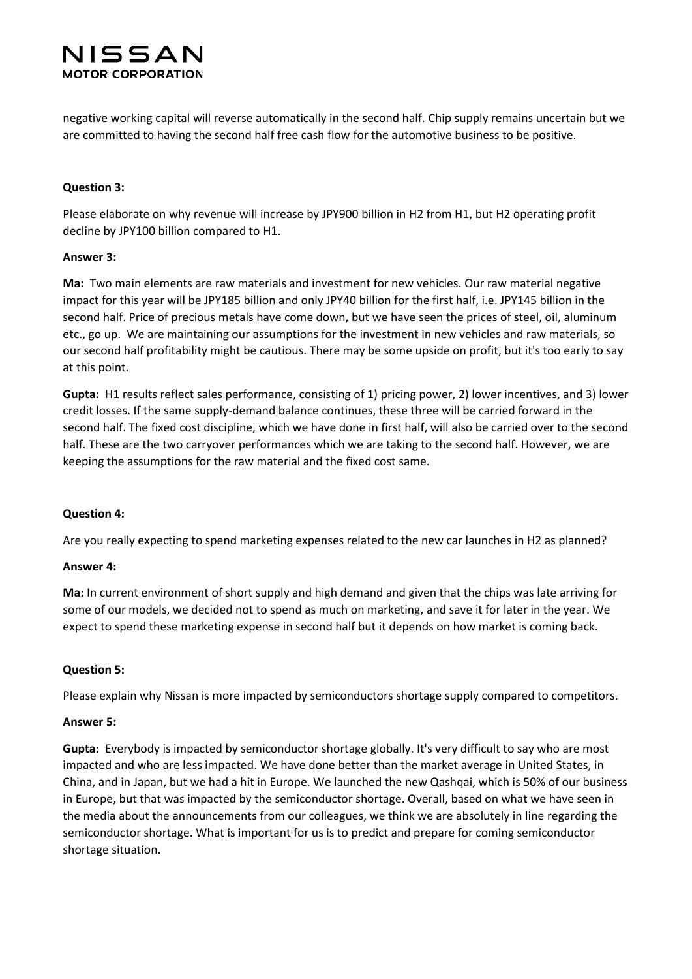negative working capital will reverse automatically in the second half. Chip supply remains uncertain but we are committed to having the second half free cash flow for the automotive business to be positive.

#### **Question 3:**

Please elaborate on why revenue will increase by JPY900 billion in H2 from H1, but H2 operating profit decline by JPY100 billion compared to H1.

#### **Answer 3:**

**Ma:** Two main elements are raw materials and investment for new vehicles. Our raw material negative impact for this year will be JPY185 billion and only JPY40 billion for the first half, i.e. JPY145 billion in the second half. Price of precious metals have come down, but we have seen the prices of steel, oil, aluminum etc., go up. We are maintaining our assumptions for the investment in new vehicles and raw materials, so our second half profitability might be cautious. There may be some upside on profit, but it's too early to say at this point.

**Gupta:** H1 results reflect sales performance, consisting of 1) pricing power, 2) lower incentives, and 3) lower credit losses. If the same supply-demand balance continues, these three will be carried forward in the second half. The fixed cost discipline, which we have done in first half, will also be carried over to the second half. These are the two carryover performances which we are taking to the second half. However, we are keeping the assumptions for the raw material and the fixed cost same.

#### **Question 4:**

Are you really expecting to spend marketing expenses related to the new car launches in H2 as planned?

#### **Answer 4:**

**Ma:** In current environment of short supply and high demand and given that the chips was late arriving for some of our models, we decided not to spend as much on marketing, and save it for later in the year. We expect to spend these marketing expense in second half but it depends on how market is coming back.

#### **Question 5:**

Please explain why Nissan is more impacted by semiconductors shortage supply compared to competitors.

#### **Answer 5:**

**Gupta:** Everybody is impacted by semiconductor shortage globally. It's very difficult to say who are most impacted and who are less impacted. We have done better than the market average in United States, in China, and in Japan, but we had a hit in Europe. We launched the new Qashqai, which is 50% of our business in Europe, but that was impacted by the semiconductor shortage. Overall, based on what we have seen in the media about the announcements from our colleagues, we think we are absolutely in line regarding the semiconductor shortage. What is important for us is to predict and prepare for coming semiconductor shortage situation.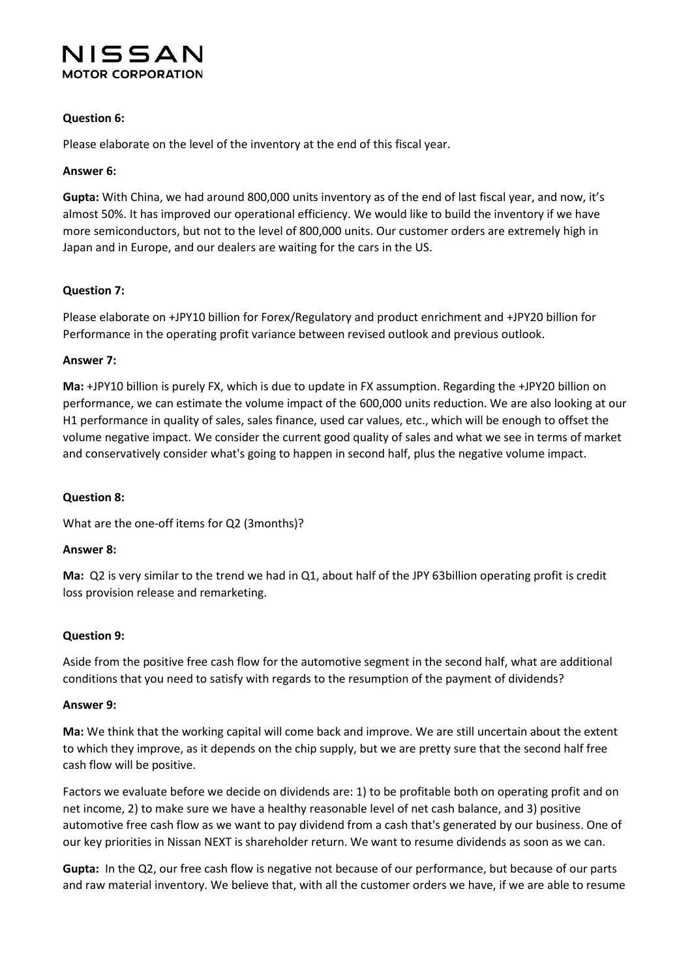#### **Question 6:**

Please elaborate on the level of the inventory at the end of this fiscal year.

#### **Answer 6:**

**Gupta:** With China, we had around 800,000 units inventory as of the end of last fiscal year, and now, it's almost 50%. It has improved our operational efficiency. We would like to build the inventory if we have more semiconductors, but not to the level of 800,000 units. Our customer orders are extremely high in Japan and in Europe, and our dealers are waiting for the cars in the US.

#### **Question 7:**

Please elaborate on +JPY10 billion for Forex/Regulatory and product enrichment and +JPY20 billion for Performance in the operating profit variance between revised outlook and previous outlook.

#### **Answer 7:**

**Ma:** +JPY10 billion is purely FX, which is due to update in FX assumption. Regarding the +JPY20 billion on performance, we can estimate the volume impact of the 600,000 units reduction. We are also looking at our H1 performance in quality of sales, sales finance, used car values, etc., which will be enough to offset the volume negative impact. We consider the current good quality of sales and what we see in terms of market and conservatively consider what's going to happen in second half, plus the negative volume impact.

#### **Question 8:**

What are the one-off items for Q2 (3months)?

#### **Answer 8:**

**Ma:** Q2 is very similar to the trend we had in Q1, about half of the JPY 63billion operating profit is credit loss provision release and remarketing.

#### **Question 9:**

Aside from the positive free cash flow for the automotive segment in the second half, what are additional conditions that you need to satisfy with regards to the resumption of the payment of dividends?

#### **Answer 9:**

**Ma:** We think that the working capital will come back and improve. We are still uncertain about the extent to which they improve, as it depends on the chip supply, but we are pretty sure that the second half free cash flow will be positive.

Factors we evaluate before we decide on dividends are: 1) to be profitable both on operating profit and on net income, 2) to make sure we have a healthy reasonable level of net cash balance, and 3) positive automotive free cash flow as we want to pay dividend from a cash that's generated by our business. One of our key priorities in Nissan NEXT is shareholder return. We want to resume dividends as soon as we can.

**Gupta:** In the Q2, our free cash flow is negative not because of our performance, but because of our parts and raw material inventory. We believe that, with all the customer orders we have, if we are able to resume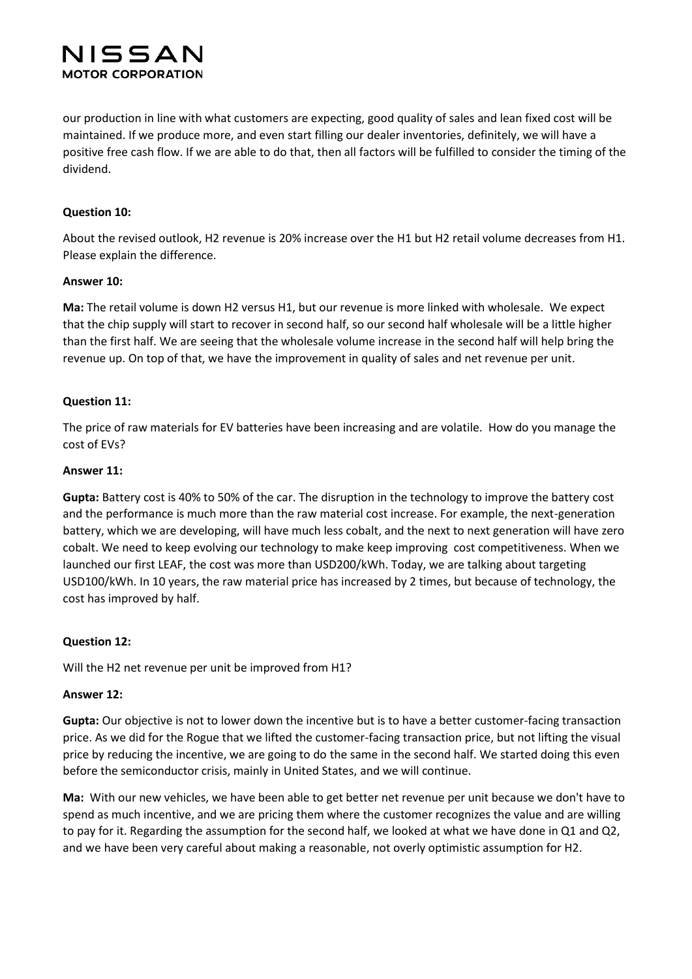our production in line with what customers are expecting, good quality of sales and lean fixed cost will be maintained. If we produce more, and even start filling our dealer inventories, definitely, we will have a positive free cash flow. If we are able to do that, then all factors will be fulfilled to consider the timing of the dividend.

#### **Question 10:**

About the revised outlook, H2 revenue is 20% increase over the H1 but H2 retail volume decreases from H1. Please explain the difference.

#### **Answer 10:**

**Ma:** The retail volume is down H2 versus H1, but our revenue is more linked with wholesale. We expect that the chip supply will start to recover in second half, so our second half wholesale will be a little higher than the first half. We are seeing that the wholesale volume increase in the second half will help bring the revenue up. On top of that, we have the improvement in quality of sales and net revenue per unit.

#### **Question 11:**

The price of raw materials for EV batteries have been increasing and are volatile. How do you manage the cost of EVs?

#### **Answer 11:**

**Gupta:** Battery cost is 40% to 50% of the car. The disruption in the technology to improve the battery cost and the performance is much more than the raw material cost increase. For example, the next-generation battery, which we are developing, will have much less cobalt, and the next to next generation will have zero cobalt. We need to keep evolving our technology to make keep improving cost competitiveness. When we launched our first LEAF, the cost was more than USD200/kWh. Today, we are talking about targeting USD100/kWh. In 10 years, the raw material price has increased by 2 times, but because of technology, the cost has improved by half.

#### **Question 12:**

Will the H2 net revenue per unit be improved from H1?

#### **Answer 12:**

**Gupta:** Our objective is not to lower down the incentive but is to have a better customer-facing transaction price. As we did for the Rogue that we lifted the customer-facing transaction price, but not lifting the visual price by reducing the incentive, we are going to do the same in the second half. We started doing this even before the semiconductor crisis, mainly in United States, and we will continue.

**Ma:** With our new vehicles, we have been able to get better net revenue per unit because we don't have to spend as much incentive, and we are pricing them where the customer recognizes the value and are willing to pay for it. Regarding the assumption for the second half, we looked at what we have done in Q1 and Q2, and we have been very careful about making a reasonable, not overly optimistic assumption for H2.